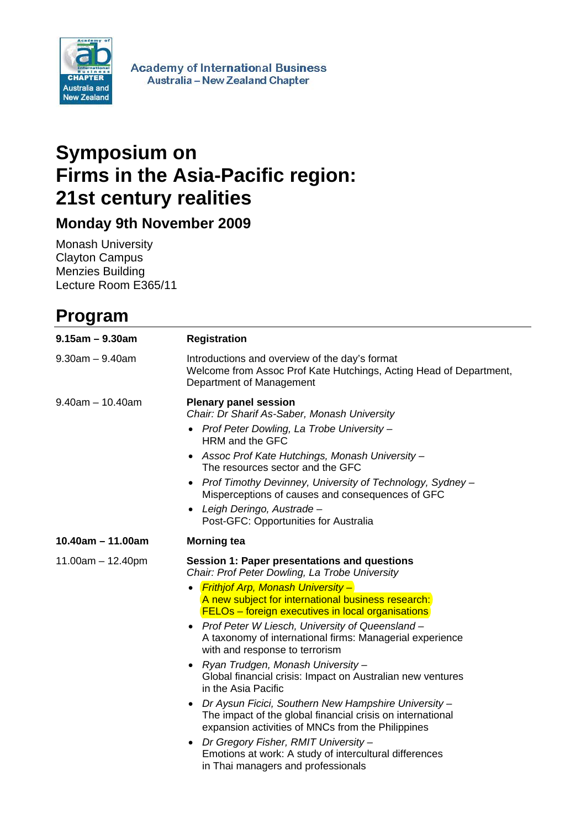

**Academy of International Business** Australia - New Zealand Chapter

## **Symposium on Firms in the Asia-Pacific region: 21st century realities**

**Monday 9th November 2009** 

Monash University Clayton Campus Menzies Building Lecture Room E365/11

## **Program**

| $9.15$ am $- 9.30$ am | <b>Registration</b>                                                                                                                                                                                                                                                                                                                                                                                                                                                                                                                                                                                                                                                                                                                                                                                                                                                         |
|-----------------------|-----------------------------------------------------------------------------------------------------------------------------------------------------------------------------------------------------------------------------------------------------------------------------------------------------------------------------------------------------------------------------------------------------------------------------------------------------------------------------------------------------------------------------------------------------------------------------------------------------------------------------------------------------------------------------------------------------------------------------------------------------------------------------------------------------------------------------------------------------------------------------|
| $9.30$ am $- 9.40$ am | Introductions and overview of the day's format<br>Welcome from Assoc Prof Kate Hutchings, Acting Head of Department,<br>Department of Management                                                                                                                                                                                                                                                                                                                                                                                                                                                                                                                                                                                                                                                                                                                            |
| $9.40$ am $-10.40$ am | <b>Plenary panel session</b><br>Chair: Dr Sharif As-Saber, Monash University<br>Prof Peter Dowling, La Trobe University -<br>HRM and the GFC<br>Assoc Prof Kate Hutchings, Monash University -<br>The resources sector and the GFC<br>Prof Timothy Devinney, University of Technology, Sydney -<br>Misperceptions of causes and consequences of GFC<br>Leigh Deringo, Austrade –<br>Post-GFC: Opportunities for Australia                                                                                                                                                                                                                                                                                                                                                                                                                                                   |
| $10.40$ am - 11.00am  | <b>Morning tea</b>                                                                                                                                                                                                                                                                                                                                                                                                                                                                                                                                                                                                                                                                                                                                                                                                                                                          |
| $11.00am - 12.40pm$   | Session 1: Paper presentations and questions<br>Chair: Prof Peter Dowling, La Trobe University<br><b>Frithjof Arp, Monash University-</b><br>A new subject for international business research:<br><b>FELOs</b> – foreign executives in local organisations<br>Prof Peter W Liesch, University of Queensland -<br>$\bullet$<br>A taxonomy of international firms: Managerial experience<br>with and response to terrorism<br>Ryan Trudgen, Monash University –<br>Global financial crisis: Impact on Australian new ventures<br>in the Asia Pacific<br>Dr Aysun Ficici, Southern New Hampshire University -<br>٠<br>The impact of the global financial crisis on international<br>expansion activities of MNCs from the Philippines<br>Dr Gregory Fisher, RMIT University –<br>Emotions at work: A study of intercultural differences<br>in Thai managers and professionals |